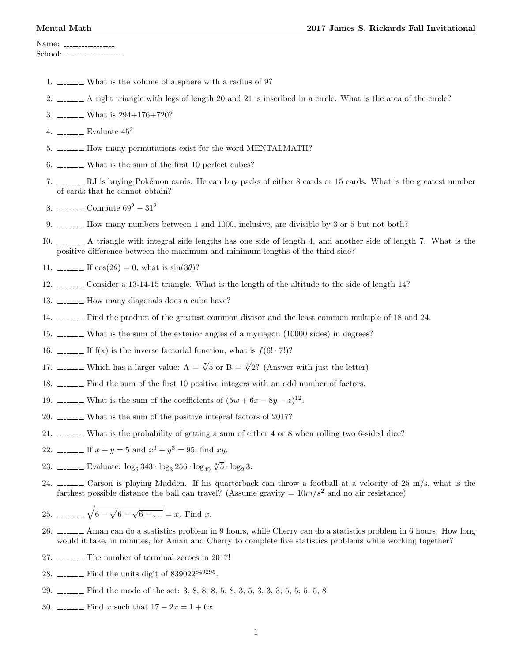Name: School: \_\_\_\_\_\_\_\_\_\_\_\_\_\_

- 1. What is the volume of a sphere with a radius of 9?
- 2. \_\_\_\_\_\_\_\_ A right triangle with legs of length 20 and 21 is inscribed in a circle. What is the area of the circle?
- 3. What is 294+176+720?
- 4.  $\frac{1}{2}$  Evaluate 45<sup>2</sup>
- 5. \_\_\_\_\_\_\_\_ How many permutations exist for the word MENTALMATH?
- 6. What is the sum of the first 10 perfect cubes?
- 7. \_\_\_\_\_\_\_\_\_ RJ is buying Pokémon cards. He can buy packs of either 8 cards or 15 cards. What is the greatest number of cards that he cannot obtain?
- 8. \_\_\_\_\_\_\_\_ Compute  $69^2 31^2$
- 9. \_\_\_\_\_\_\_\_ How many numbers between 1 and 1000, inclusive, are divisible by 3 or 5 but not both?
- 10. A triangle with integral side lengths has one side of length 4, and another side of length 7. What is the positive difference between the maximum and minimum lengths of the third side?
- 11. If  $\cos(2\theta) = 0$ , what is  $\sin(3\theta)$ ?
- 12. Consider a 13-14-15 triangle. What is the length of the altitude to the side of length 14?
- 13. \_\_\_\_\_\_\_\_ How many diagonals does a cube have?
- 14. Find the product of the greatest common divisor and the least common multiple of 18 and 24.
- 15. What is the sum of the exterior angles of a myriagon (10000 sides) in degrees?
- 16. If  $f(x)$  is the inverse factorial function, what is  $f(6! \cdot 7!)$ ?
- 17. \_\_\_\_\_\_\_\_ Which has a larger value:  $A = \sqrt[7]{5}$  or  $B = \sqrt[3]{2}$ ? (Answer with just the letter)
- 18. <u>---------</u> Find the sum of the first 10 positive integers with an odd number of factors.
- 19. \_\_\_\_\_\_\_\_ What is the sum of the coefficients of  $(5w + 6x 8y z)^{12}$ .
- 20. What is the sum of the positive integral factors of 2017?
- 21. \_\_\_\_\_\_\_ What is the probability of getting a sum of either 4 or 8 when rolling two 6-sided dice?
- 22. \_\_\_\_\_\_\_\_ If  $x + y = 5$  and  $x^3 + y^3 = 95$ , find  $xy$ .
- 23. \_\_\_\_\_\_\_\_ Evaluate:  $\log_5 343 \cdot \log_3 256 \cdot \log_{49} \sqrt[4]{5} \cdot \log_2 3$ .
- 24.  $\ldots$  Carson is playing Madden. If his quarterback can throw a football at a velocity of 25 m/s, what is the farthest possible distance the ball can travel? (Assume gravity  $= 10m/s^2$  and no air resistance)

25. 1 
$$
\sqrt{6 - \sqrt{6 - \sqrt{6 - \dots}}} = x
$$
. Find x.

- 26. Aman can do a statistics problem in 9 hours, while Cherry can do a statistics problem in 6 hours. How long would it take, in minutes, for Aman and Cherry to complete five statistics problems while working together?
- 27. <u>\_\_\_\_\_\_\_</u> The number of terminal zeroes in 2017!
- 28.  $\frac{1}{286}$  Find the units digit of 839022<sup>849295</sup>.
- 29. <u>Find</u> the mode of the set: 3, 8, 8, 8, 5, 8, 3, 5, 3, 3, 3, 5, 5, 5, 5, 8
- 30.  $\frac{1}{2}$  Find x such that  $17 2x = 1 + 6x$ .